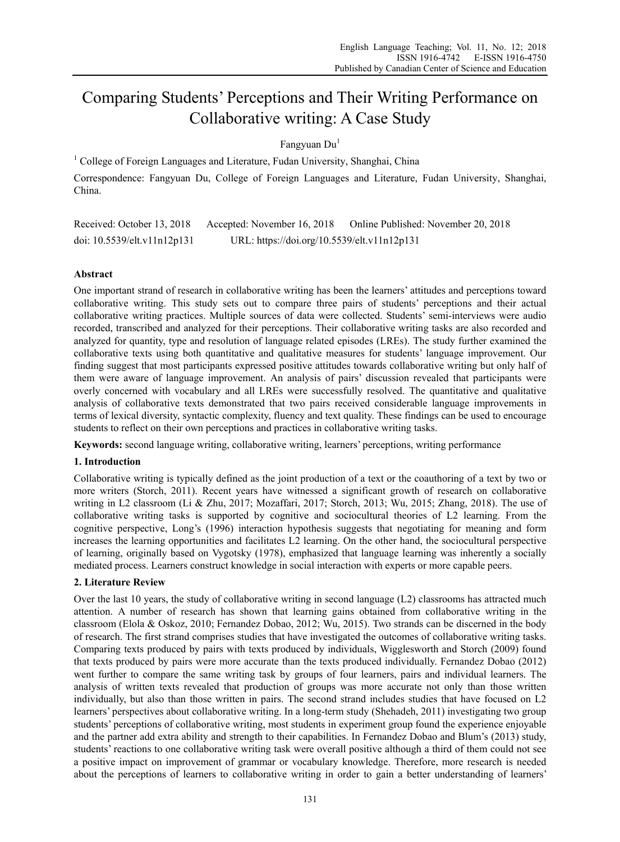# Comparing Students' Perceptions and Their Writing Performance on Collaborative writing: A Case Study

Fangyuan Du<sup>1</sup>

<sup>1</sup> College of Foreign Languages and Literature, Fudan University, Shanghai, China Correspondence: Fangyuan Du, College of Foreign Languages and Literature, Fudan University, Shanghai, China.

Received: October 13, 2018 Accepted: November 16, 2018 Online Published: November 20, 2018 doi: 10.5539/elt.v11n12p131 URL: https://doi.org/10.5539/elt.v11n12p131

# **Abstract**

One important strand of research in collaborative writing has been the learners' attitudes and perceptions toward collaborative writing. This study sets out to compare three pairs of students' perceptions and their actual collaborative writing practices. Multiple sources of data were collected. Students' semi-interviews were audio recorded, transcribed and analyzed for their perceptions. Their collaborative writing tasks are also recorded and analyzed for quantity, type and resolution of language related episodes (LREs). The study further examined the collaborative texts using both quantitative and qualitative measures for students' language improvement. Our finding suggest that most participants expressed positive attitudes towards collaborative writing but only half of them were aware of language improvement. An analysis of pairs' discussion revealed that participants were overly concerned with vocabulary and all LREs were successfully resolved. The quantitative and qualitative analysis of collaborative texts demonstrated that two pairs received considerable language improvements in terms of lexical diversity, syntactic complexity, fluency and text quality. These findings can be used to encourage students to reflect on their own perceptions and practices in collaborative writing tasks.

**Keywords:** second language writing, collaborative writing, learners' perceptions, writing performance

# **1. Introduction**

Collaborative writing is typically defined as the joint production of a text or the coauthoring of a text by two or more writers (Storch, 2011). Recent years have witnessed a significant growth of research on collaborative writing in L2 classroom (Li & Zhu, 2017; Mozaffari, 2017; Storch, 2013; Wu, 2015; Zhang, 2018). The use of collaborative writing tasks is supported by cognitive and sociocultural theories of L2 learning. From the cognitive perspective, Long's (1996) interaction hypothesis suggests that negotiating for meaning and form increases the learning opportunities and facilitates L2 learning. On the other hand, the sociocultural perspective of learning, originally based on Vygotsky (1978), emphasized that language learning was inherently a socially mediated process. Learners construct knowledge in social interaction with experts or more capable peers.

# **2. Literature Review**

Over the last 10 years, the study of collaborative writing in second language (L2) classrooms has attracted much attention. A number of research has shown that learning gains obtained from collaborative writing in the classroom (Elola & Oskoz, 2010; Fernandez Dobao, 2012; Wu, 2015). Two strands can be discerned in the body of research. The first strand comprises studies that have investigated the outcomes of collaborative writing tasks. Comparing texts produced by pairs with texts produced by individuals, Wigglesworth and Storch (2009) found that texts produced by pairs were more accurate than the texts produced individually. Fernandez Dobao (2012) went further to compare the same writing task by groups of four learners, pairs and individual learners. The analysis of written texts revealed that production of groups was more accurate not only than those written individually, but also than those written in pairs. The second strand includes studies that have focused on L2 learners' perspectives about collaborative writing. In a long-term study (Shehadeh, 2011) investigating two group students' perceptions of collaborative writing, most students in experiment group found the experience enjoyable and the partner add extra ability and strength to their capabilities. In Fernandez Dobao and Blum's (2013) study, students' reactions to one collaborative writing task were overall positive although a third of them could not see a positive impact on improvement of grammar or vocabulary knowledge. Therefore, more research is needed about the perceptions of learners to collaborative writing in order to gain a better understanding of learners'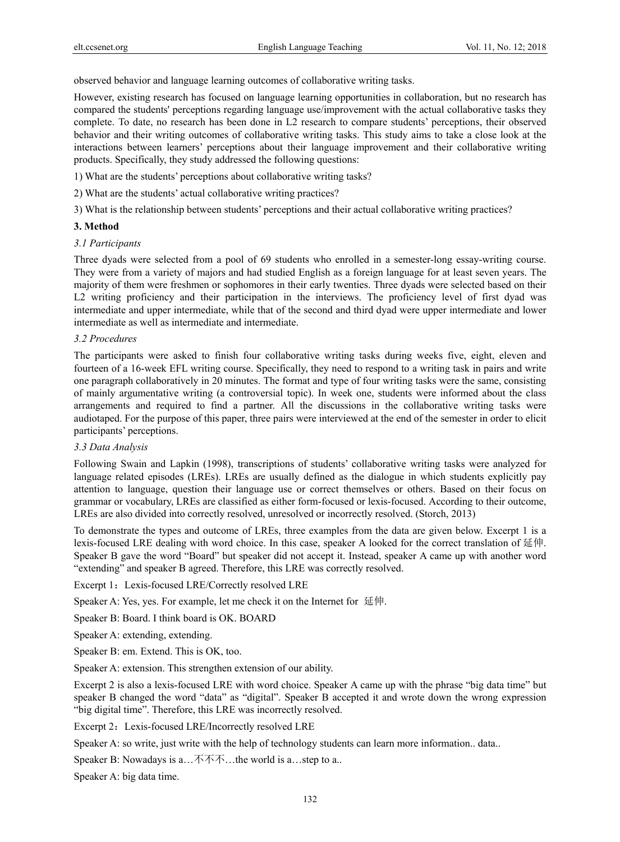observed behavior and language learning outcomes of collaborative writing tasks.

However, existing research has focused on language learning opportunities in collaboration, but no research has compared the students' perceptions regarding language use/improvement with the actual collaborative tasks they complete. To date, no research has been done in L2 research to compare students' perceptions, their observed behavior and their writing outcomes of collaborative writing tasks. This study aims to take a close look at the interactions between learners' perceptions about their language improvement and their collaborative writing products. Specifically, they study addressed the following questions:

1) What are the students' perceptions about collaborative writing tasks?

2) What are the students' actual collaborative writing practices?

3) What is the relationship between students' perceptions and their actual collaborative writing practices?

## **3. Method**

#### *3.1 Participants*

Three dyads were selected from a pool of 69 students who enrolled in a semester-long essay-writing course. They were from a variety of majors and had studied English as a foreign language for at least seven years. The majority of them were freshmen or sophomores in their early twenties. Three dyads were selected based on their L2 writing proficiency and their participation in the interviews. The proficiency level of first dyad was intermediate and upper intermediate, while that of the second and third dyad were upper intermediate and lower intermediate as well as intermediate and intermediate.

## *3.2 Procedures*

The participants were asked to finish four collaborative writing tasks during weeks five, eight, eleven and fourteen of a 16-week EFL writing course. Specifically, they need to respond to a writing task in pairs and write one paragraph collaboratively in 20 minutes. The format and type of four writing tasks were the same, consisting of mainly argumentative writing (a controversial topic). In week one, students were informed about the class arrangements and required to find a partner. All the discussions in the collaborative writing tasks were audiotaped. For the purpose of this paper, three pairs were interviewed at the end of the semester in order to elicit participants' perceptions.

#### *3.3 Data Analysis*

Following Swain and Lapkin (1998), transcriptions of students' collaborative writing tasks were analyzed for language related episodes (LREs). LREs are usually defined as the dialogue in which students explicitly pay attention to language, question their language use or correct themselves or others. Based on their focus on grammar or vocabulary, LREs are classified as either form-focused or lexis-focused. According to their outcome, LREs are also divided into correctly resolved, unresolved or incorrectly resolved. (Storch, 2013)

To demonstrate the types and outcome of LREs, three examples from the data are given below. Excerpt 1 is a lexis-focused LRE dealing with word choice. In this case, speaker A looked for the correct translation of 延伸. Speaker B gave the word "Board" but speaker did not accept it. Instead, speaker A came up with another word "extending" and speaker B agreed. Therefore, this LRE was correctly resolved.

Excerpt 1: Lexis-focused LRE/Correctly resolved LRE

Speaker A: Yes, yes. For example, let me check it on the Internet for 延伸.

Speaker B: Board. I think board is OK. BOARD

Speaker A: extending, extending.

Speaker B: em. Extend. This is OK, too.

Speaker A: extension. This strengthen extension of our ability.

Excerpt 2 is also a lexis-focused LRE with word choice. Speaker A came up with the phrase "big data time" but speaker B changed the word "data" as "digital". Speaker B accepted it and wrote down the wrong expression "big digital time". Therefore, this LRE was incorrectly resolved.

Excerpt 2: Lexis-focused LRE/Incorrectly resolved LRE

Speaker A: so write, just write with the help of technology students can learn more information.. data..

Speaker B: Nowadays is a…不不不…the world is a…step to a..

Speaker A: big data time.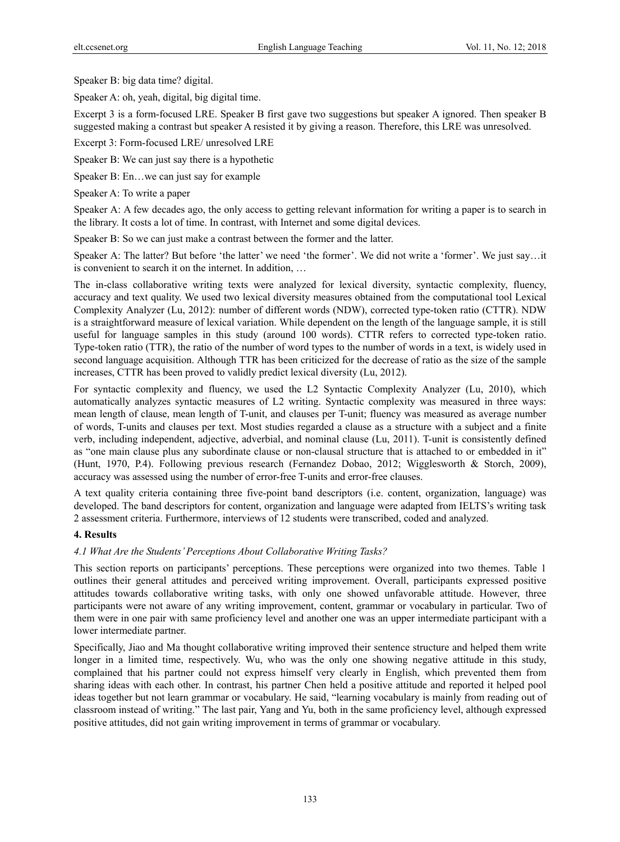Speaker B: big data time? digital.

Speaker A: oh, yeah, digital, big digital time.

Excerpt 3 is a form-focused LRE. Speaker B first gave two suggestions but speaker A ignored. Then speaker B suggested making a contrast but speaker A resisted it by giving a reason. Therefore, this LRE was unresolved.

Excerpt 3: Form-focused LRE/ unresolved LRE

Speaker B: We can just say there is a hypothetic

Speaker B: En…we can just say for example

Speaker A: To write a paper

Speaker A: A few decades ago, the only access to getting relevant information for writing a paper is to search in the library. It costs a lot of time. In contrast, with Internet and some digital devices.

Speaker B: So we can just make a contrast between the former and the latter.

Speaker A: The latter? But before 'the latter' we need 'the former'. We did not write a 'former'. We just say…it is convenient to search it on the internet. In addition, …

The in-class collaborative writing texts were analyzed for lexical diversity, syntactic complexity, fluency, accuracy and text quality. We used two lexical diversity measures obtained from the computational tool Lexical Complexity Analyzer (Lu, 2012): number of different words (NDW), corrected type-token ratio (CTTR). NDW is a straightforward measure of lexical variation. While dependent on the length of the language sample, it is still useful for language samples in this study (around 100 words). CTTR refers to corrected type-token ratio. Type-token ratio (TTR), the ratio of the number of word types to the number of words in a text, is widely used in second language acquisition. Although TTR has been criticized for the decrease of ratio as the size of the sample increases, CTTR has been proved to validly predict lexical diversity (Lu, 2012).

For syntactic complexity and fluency, we used the L2 Syntactic Complexity Analyzer (Lu, 2010), which automatically analyzes syntactic measures of L2 writing. Syntactic complexity was measured in three ways: mean length of clause, mean length of T-unit, and clauses per T-unit; fluency was measured as average number of words, T-units and clauses per text. Most studies regarded a clause as a structure with a subject and a finite verb, including independent, adjective, adverbial, and nominal clause (Lu, 2011). T-unit is consistently defined as "one main clause plus any subordinate clause or non-clausal structure that is attached to or embedded in it" (Hunt, 1970, P.4). Following previous research (Fernandez Dobao, 2012; Wigglesworth & Storch, 2009), accuracy was assessed using the number of error-free T-units and error-free clauses.

A text quality criteria containing three five-point band descriptors (i.e. content, organization, language) was developed. The band descriptors for content, organization and language were adapted from IELTS's writing task 2 assessment criteria. Furthermore, interviews of 12 students were transcribed, coded and analyzed.

## **4. Results**

## *4.1 What Are the Students' Perceptions About Collaborative Writing Tasks?*

This section reports on participants' perceptions. These perceptions were organized into two themes. Table 1 outlines their general attitudes and perceived writing improvement. Overall, participants expressed positive attitudes towards collaborative writing tasks, with only one showed unfavorable attitude. However, three participants were not aware of any writing improvement, content, grammar or vocabulary in particular. Two of them were in one pair with same proficiency level and another one was an upper intermediate participant with a lower intermediate partner.

Specifically, Jiao and Ma thought collaborative writing improved their sentence structure and helped them write longer in a limited time, respectively. Wu, who was the only one showing negative attitude in this study, complained that his partner could not express himself very clearly in English, which prevented them from sharing ideas with each other. In contrast, his partner Chen held a positive attitude and reported it helped pool ideas together but not learn grammar or vocabulary. He said, "learning vocabulary is mainly from reading out of classroom instead of writing." The last pair, Yang and Yu, both in the same proficiency level, although expressed positive attitudes, did not gain writing improvement in terms of grammar or vocabulary.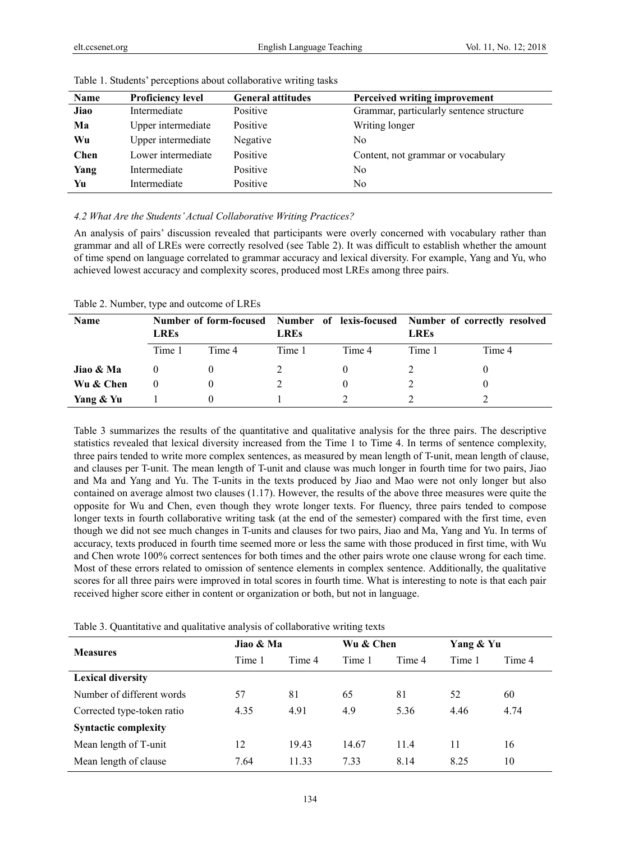| Name        | <b>Proficiency level</b> | <b>General attitudes</b> | Perceived writing improvement            |
|-------------|--------------------------|--------------------------|------------------------------------------|
| Jiao        | Intermediate             | Positive                 | Grammar, particularly sentence structure |
| Ma          | Upper intermediate       | Positive                 | Writing longer                           |
| Wu          | Upper intermediate       | Negative                 | No                                       |
| <b>Chen</b> | Lower intermediate       | Positive                 | Content, not grammar or vocabulary       |
| Yang        | Intermediate             | Positive                 | No                                       |
| Yu          | Intermediate             | Positive                 | No                                       |

Table 1. Students' perceptions about collaborative writing tasks

#### *4.2 What Are the Students' Actual Collaborative Writing Practices?*

An analysis of pairs' discussion revealed that participants were overly concerned with vocabulary rather than grammar and all of LREs were correctly resolved (see Table 2). It was difficult to establish whether the amount of time spend on language correlated to grammar accuracy and lexical diversity. For example, Yang and Yu, who achieved lowest accuracy and complexity scores, produced most LREs among three pairs.

Table 2. Number, type and outcome of LREs

| <b>Name</b> | <b>LREs</b> |        | <b>LREs</b> |        | Number of form-focused Number of lexis-focused Number of correctly resolved<br><b>LREs</b> |        |
|-------------|-------------|--------|-------------|--------|--------------------------------------------------------------------------------------------|--------|
|             | Time 1      | Time 4 | Time 1      | Time 4 | Time 1                                                                                     | Time 4 |
| Jiao & Ma   |             |        |             |        |                                                                                            |        |
| Wu & Chen   | 0           |        |             |        |                                                                                            |        |
| Yang & Yu   |             |        |             |        |                                                                                            |        |

Table 3 summarizes the results of the quantitative and qualitative analysis for the three pairs. The descriptive statistics revealed that lexical diversity increased from the Time 1 to Time 4. In terms of sentence complexity, three pairs tended to write more complex sentences, as measured by mean length of T-unit, mean length of clause, and clauses per T-unit. The mean length of T-unit and clause was much longer in fourth time for two pairs, Jiao and Ma and Yang and Yu. The T-units in the texts produced by Jiao and Mao were not only longer but also contained on average almost two clauses (1.17). However, the results of the above three measures were quite the opposite for Wu and Chen, even though they wrote longer texts. For fluency, three pairs tended to compose longer texts in fourth collaborative writing task (at the end of the semester) compared with the first time, even though we did not see much changes in T-units and clauses for two pairs, Jiao and Ma, Yang and Yu. In terms of accuracy, texts produced in fourth time seemed more or less the same with those produced in first time, with Wu and Chen wrote 100% correct sentences for both times and the other pairs wrote one clause wrong for each time. Most of these errors related to omission of sentence elements in complex sentence. Additionally, the qualitative scores for all three pairs were improved in total scores in fourth time. What is interesting to note is that each pair received higher score either in content or organization or both, but not in language.

Table 3. Quantitative and qualitative analysis of collaborative writing texts

| <b>Measures</b>             | Jiao & Ma |        | Wu & Chen |        | Yang & Yu |        |
|-----------------------------|-----------|--------|-----------|--------|-----------|--------|
|                             | Time 1    | Time 4 | Time 1    | Time 4 | Time 1    | Time 4 |
| <b>Lexical diversity</b>    |           |        |           |        |           |        |
| Number of different words   | 57        | 81     | 65        | 81     | 52        | 60     |
| Corrected type-token ratio  | 4.35      | 4.91   | 4.9       | 5.36   | 4.46      | 4.74   |
| <b>Syntactic complexity</b> |           |        |           |        |           |        |
| Mean length of T-unit       | 12        | 19.43  | 14.67     | 11.4   | 11        | 16     |
| Mean length of clause       | 7.64      | 11.33  | 7.33      | 8.14   | 8.25      | 10     |
|                             |           |        |           |        |           |        |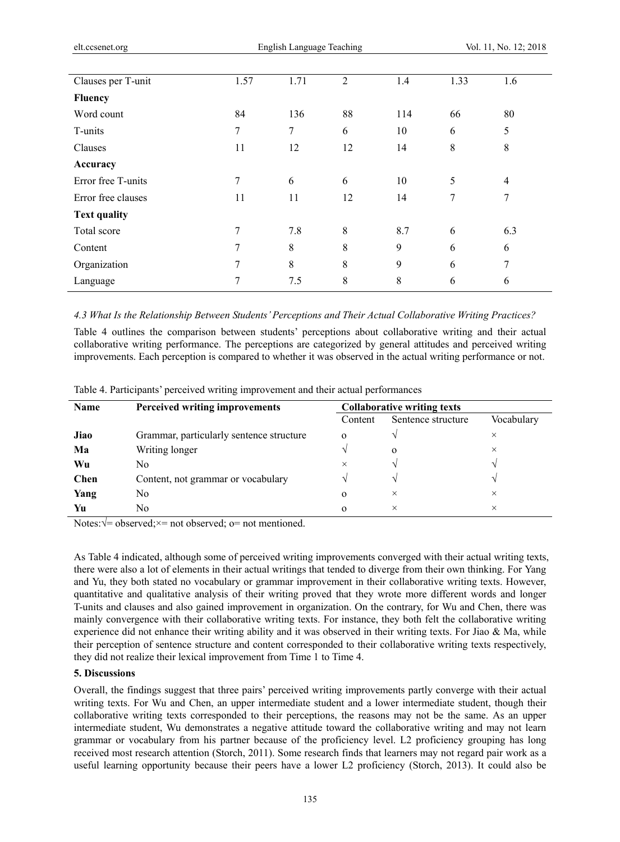| Clauses per T-unit  | 1.57 | 1.71 | 2  | 1.4 | 1.33 | 1.6            |
|---------------------|------|------|----|-----|------|----------------|
| <b>Fluency</b>      |      |      |    |     |      |                |
| Word count          | 84   | 136  | 88 | 114 | 66   | 80             |
| T-units             | 7    | 7    | 6  | 10  | 6    | 5              |
| Clauses             | 11   | 12   | 12 | 14  | 8    | 8              |
| Accuracy            |      |      |    |     |      |                |
| Error free T-units  | 7    | 6    | 6  | 10  | 5    | $\overline{4}$ |
| Error free clauses  | 11   | 11   | 12 | 14  | 7    | 7              |
| <b>Text quality</b> |      |      |    |     |      |                |
| Total score         | 7    | 7.8  | 8  | 8.7 | 6    | 6.3            |
| Content             | 7    | 8    | 8  | 9   | 6    | 6              |
| Organization        | 7    | 8    | 8  | 9   | 6    | 7              |
| Language            | 7    | 7.5  | 8  | 8   | 6    | 6              |

*4.3 What Is the Relationship Between Students' Perceptions and Their Actual Collaborative Writing Practices?* 

Table 4 outlines the comparison between students' perceptions about collaborative writing and their actual collaborative writing performance. The perceptions are categorized by general attitudes and perceived writing improvements. Each perception is compared to whether it was observed in the actual writing performance or not.

| Table 4. Participants' perceived writing improvement and their actual performances |  |  |  |  |  |  |  |  |
|------------------------------------------------------------------------------------|--|--|--|--|--|--|--|--|
|------------------------------------------------------------------------------------|--|--|--|--|--|--|--|--|

| Name | <b>Perceived writing improvements</b>    | <b>Collaborative writing texts</b> |                    |            |  |
|------|------------------------------------------|------------------------------------|--------------------|------------|--|
|      |                                          | Content                            | Sentence structure | Vocabulary |  |
| Jiao | Grammar, particularly sentence structure | $\mathbf 0$                        |                    | $\times$   |  |
| Ma   | Writing longer                           |                                    | $\mathbf 0$        | $\times$   |  |
| Wu   | No                                       | $\times$                           | $\mathcal{N}$      |            |  |
| Chen | Content, not grammar or vocabulary       |                                    |                    |            |  |
| Yang | No                                       | $\mathbf{o}$                       | $\times$           | $\times$   |  |
| Yu   | No                                       | $\Omega$                           | ×                  | $\times$   |  |

Notes: $\sqrt{\ }$  observed;  $\times$  not observed; o= not mentioned.

As Table 4 indicated, although some of perceived writing improvements converged with their actual writing texts, there were also a lot of elements in their actual writings that tended to diverge from their own thinking. For Yang and Yu, they both stated no vocabulary or grammar improvement in their collaborative writing texts. However, quantitative and qualitative analysis of their writing proved that they wrote more different words and longer T-units and clauses and also gained improvement in organization. On the contrary, for Wu and Chen, there was mainly convergence with their collaborative writing texts. For instance, they both felt the collaborative writing experience did not enhance their writing ability and it was observed in their writing texts. For Jiao & Ma, while their perception of sentence structure and content corresponded to their collaborative writing texts respectively, they did not realize their lexical improvement from Time 1 to Time 4.

# **5. Discussions**

Overall, the findings suggest that three pairs' perceived writing improvements partly converge with their actual writing texts. For Wu and Chen, an upper intermediate student and a lower intermediate student, though their collaborative writing texts corresponded to their perceptions, the reasons may not be the same. As an upper intermediate student, Wu demonstrates a negative attitude toward the collaborative writing and may not learn grammar or vocabulary from his partner because of the proficiency level. L2 proficiency grouping has long received most research attention (Storch, 2011). Some research finds that learners may not regard pair work as a useful learning opportunity because their peers have a lower L2 proficiency (Storch, 2013). It could also be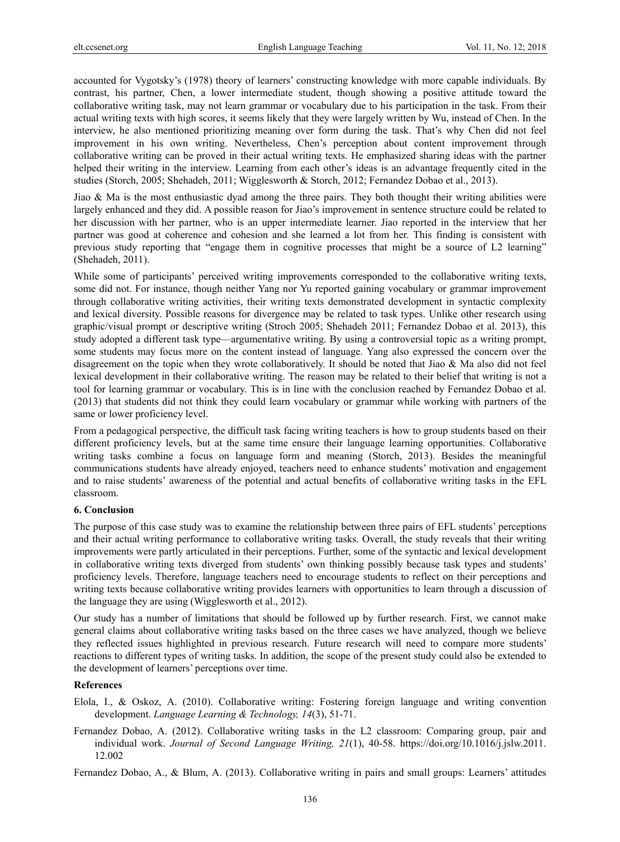accounted for Vygotsky's (1978) theory of learners' constructing knowledge with more capable individuals. By contrast, his partner, Chen, a lower intermediate student, though showing a positive attitude toward the collaborative writing task, may not learn grammar or vocabulary due to his participation in the task. From their actual writing texts with high scores, it seems likely that they were largely written by Wu, instead of Chen. In the interview, he also mentioned prioritizing meaning over form during the task. That's why Chen did not feel improvement in his own writing. Nevertheless, Chen's perception about content improvement through collaborative writing can be proved in their actual writing texts. He emphasized sharing ideas with the partner helped their writing in the interview. Learning from each other's ideas is an advantage frequently cited in the studies (Storch, 2005; Shehadeh, 2011; Wigglesworth & Storch, 2012; Fernandez Dobao et al., 2013).

Jiao & Ma is the most enthusiastic dyad among the three pairs. They both thought their writing abilities were largely enhanced and they did. A possible reason for Jiao's improvement in sentence structure could be related to her discussion with her partner, who is an upper intermediate learner. Jiao reported in the interview that her partner was good at coherence and cohesion and she learned a lot from her. This finding is consistent with previous study reporting that "engage them in cognitive processes that might be a source of L2 learning" (Shehadeh, 2011).

While some of participants' perceived writing improvements corresponded to the collaborative writing texts, some did not. For instance, though neither Yang nor Yu reported gaining vocabulary or grammar improvement through collaborative writing activities, their writing texts demonstrated development in syntactic complexity and lexical diversity. Possible reasons for divergence may be related to task types. Unlike other research using graphic/visual prompt or descriptive writing (Stroch 2005; Shehadeh 2011; Fernandez Dobao et al. 2013), this study adopted a different task type—argumentative writing. By using a controversial topic as a writing prompt, some students may focus more on the content instead of language. Yang also expressed the concern over the disagreement on the topic when they wrote collaboratively. It should be noted that Jiao & Ma also did not feel lexical development in their collaborative writing. The reason may be related to their belief that writing is not a tool for learning grammar or vocabulary. This is in line with the conclusion reached by Fernandez Dobao et al. (2013) that students did not think they could learn vocabulary or grammar while working with partners of the same or lower proficiency level.

From a pedagogical perspective, the difficult task facing writing teachers is how to group students based on their different proficiency levels, but at the same time ensure their language learning opportunities. Collaborative writing tasks combine a focus on language form and meaning (Storch, 2013). Besides the meaningful communications students have already enjoyed, teachers need to enhance students' motivation and engagement and to raise students' awareness of the potential and actual benefits of collaborative writing tasks in the EFL classroom.

#### **6. Conclusion**

The purpose of this case study was to examine the relationship between three pairs of EFL students' perceptions and their actual writing performance to collaborative writing tasks. Overall, the study reveals that their writing improvements were partly articulated in their perceptions. Further, some of the syntactic and lexical development in collaborative writing texts diverged from students' own thinking possibly because task types and students' proficiency levels. Therefore, language teachers need to encourage students to reflect on their perceptions and writing texts because collaborative writing provides learners with opportunities to learn through a discussion of the language they are using (Wigglesworth et al., 2012).

Our study has a number of limitations that should be followed up by further research. First, we cannot make general claims about collaborative writing tasks based on the three cases we have analyzed, though we believe they reflected issues highlighted in previous research. Future research will need to compare more students' reactions to different types of writing tasks. In addition, the scope of the present study could also be extended to the development of learners' perceptions over time.

## **References**

- Elola, I., & Oskoz, A. (2010). Collaborative writing: Fostering foreign language and writing convention development. *Language Learning & Technology, 14*(3), 51-71.
- Fernandez Dobao, A. (2012). Collaborative writing tasks in the L2 classroom: Comparing group, pair and individual work. *Journal of Second Language Writing, 21*(1), 40-58. https://doi.org/10.1016/j.jslw.2011. 12.002

Fernandez Dobao, A., & Blum, A. (2013). Collaborative writing in pairs and small groups: Learners' attitudes